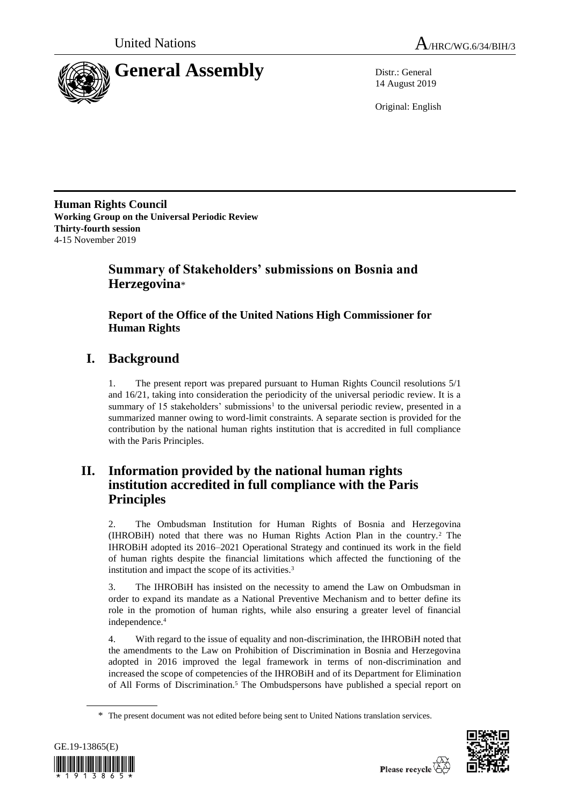

14 August 2019

Original: English

**Human Rights Council Working Group on the Universal Periodic Review Thirty-fourth session** 4-15 November 2019

# **Summary of Stakeholders' submissions on Bosnia and Herzegovina**\*

## **Report of the Office of the United Nations High Commissioner for Human Rights**

# **I. Background**

1. The present report was prepared pursuant to Human Rights Council resolutions 5/1 and 16/21, taking into consideration the periodicity of the universal periodic review. It is a summary of 15 stakeholders' submissions<sup>1</sup> to the universal periodic review, presented in a summarized manner owing to word-limit constraints. A separate section is provided for the contribution by the national human rights institution that is accredited in full compliance with the Paris Principles.

# **II. Information provided by the national human rights institution accredited in full compliance with the Paris Principles**

2. The Ombudsman Institution for Human Rights of Bosnia and Herzegovina (IHROBiH) noted that there was no Human Rights Action Plan in the country.<sup>2</sup> The IHROBiH adopted its 2016–2021 Operational Strategy and continued its work in the field of human rights despite the financial limitations which affected the functioning of the institution and impact the scope of its activities.<sup>3</sup>

3. The IHROBiH has insisted on the necessity to amend the Law on Ombudsman in order to expand its mandate as a National Preventive Mechanism and to better define its role in the promotion of human rights, while also ensuring a greater level of financial independence.<sup>4</sup>

4. With regard to the issue of equality and non-discrimination, the IHROBiH noted that the amendments to the Law on Prohibition of Discrimination in Bosnia and Herzegovina adopted in 2016 improved the legal framework in terms of non-discrimination and increased the scope of competencies of the IHROBiH and of its Department for Elimination of All Forms of Discrimination.<sup>5</sup> The Ombudspersons have published a special report on

<sup>\*</sup> The present document was not edited before being sent to United Nations translation services.



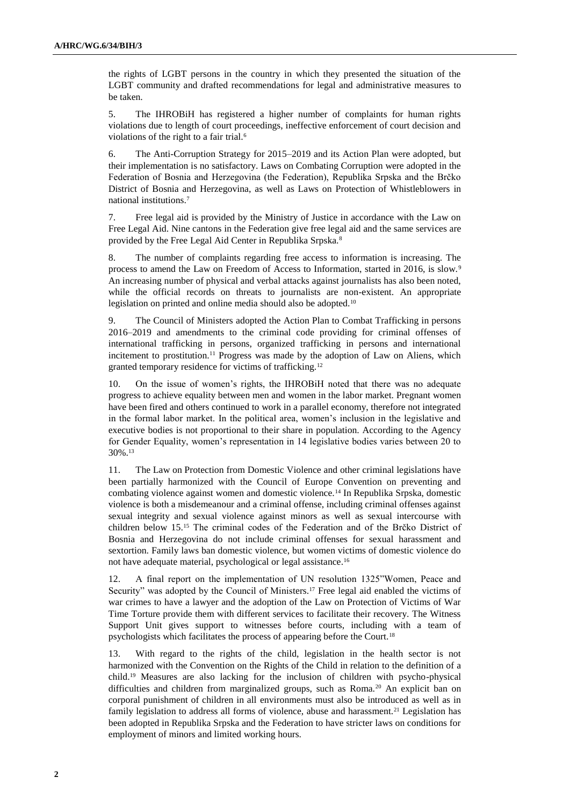the rights of LGBT persons in the country in which they presented the situation of the LGBT community and drafted recommendations for legal and administrative measures to be taken.

5. The IHROBiH has registered a higher number of complaints for human rights violations due to length of court proceedings, ineffective enforcement of court decision and violations of the right to a fair trial.<sup>6</sup>

6. The Anti-Corruption Strategy for 2015–2019 and its Action Plan were adopted, but their implementation is no satisfactory. Laws on Combating Corruption were adopted in the Federation of Bosnia and Herzegovina (the Federation), Republika Srpska and the Brčko District of Bosnia and Herzegovina, as well as Laws on Protection of Whistleblowers in national institutions.<sup>7</sup>

7. Free legal aid is provided by the Ministry of Justice in accordance with the Law on Free Legal Aid. Nine cantons in the Federation give free legal aid and the same services are provided by the Free Legal Aid Center in Republika Srpska.<sup>8</sup>

8. The number of complaints regarding free access to information is increasing. The process to amend the Law on Freedom of Access to Information, started in 2016, is slow.<sup>9</sup> An increasing number of physical and verbal attacks against journalists has also been noted, while the official records on threats to journalists are non-existent. An appropriate legislation on printed and online media should also be adopted.<sup>10</sup>

9. The Council of Ministers adopted the Action Plan to Combat Trafficking in persons 2016–2019 and amendments to the criminal code providing for criminal offenses of international trafficking in persons, organized trafficking in persons and international incitement to prostitution.<sup>11</sup> Progress was made by the adoption of Law on Aliens, which granted temporary residence for victims of trafficking.<sup>12</sup>

10. On the issue of women's rights, the IHROBiH noted that there was no adequate progress to achieve equality between men and women in the labor market. Pregnant women have been fired and others continued to work in a parallel economy, therefore not integrated in the formal labor market. In the political area, women's inclusion in the legislative and executive bodies is not proportional to their share in population. According to the Agency for Gender Equality, women's representation in 14 legislative bodies varies between 20 to 30%.<sup>13</sup>

11. The Law on Protection from Domestic Violence and other criminal legislations have been partially harmonized with the Council of Europe Convention on preventing and combating violence against women and domestic violence.<sup>14</sup> In Republika Srpska, domestic violence is both a misdemeanour and a criminal offense, including criminal offenses against sexual integrity and sexual violence against minors as well as sexual intercourse with children below 15.<sup>15</sup> The criminal codes of the Federation and of the Brčko District of Bosnia and Herzegovina do not include criminal offenses for sexual harassment and sextortion. Family laws ban domestic violence, but women victims of domestic violence do not have adequate material, psychological or legal assistance.<sup>16</sup>

12. A final report on the implementation of UN resolution 1325"Women, Peace and Security" was adopted by the Council of Ministers.<sup>17</sup> Free legal aid enabled the victims of war crimes to have a lawyer and the adoption of the Law on Protection of Victims of War Time Torture provide them with different services to facilitate their recovery. The Witness Support Unit gives support to witnesses before courts, including with a team of psychologists which facilitates the process of appearing before the Court.<sup>18</sup>

13. With regard to the rights of the child, legislation in the health sector is not harmonized with the Convention on the Rights of the Child in relation to the definition of a child.<sup>19</sup> Measures are also lacking for the inclusion of children with psycho-physical difficulties and children from marginalized groups, such as Roma.<sup>20</sup> An explicit ban on corporal punishment of children in all environments must also be introduced as well as in family legislation to address all forms of violence, abuse and harassment.<sup>21</sup> Legislation has been adopted in Republika Srpska and the Federation to have stricter laws on conditions for employment of minors and limited working hours.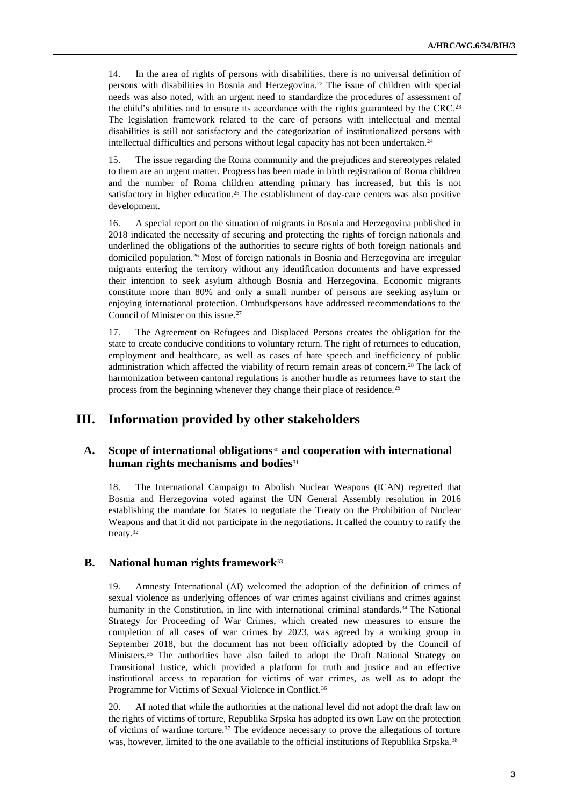14. In the area of rights of persons with disabilities, there is no universal definition of persons with disabilities in Bosnia and Herzegovina.<sup>22</sup> The issue of children with special needs was also noted, with an urgent need to standardize the procedures of assessment of the child's abilities and to ensure its accordance with the rights guaranteed by the CRC.<sup>23</sup> The legislation framework related to the care of persons with intellectual and mental disabilities is still not satisfactory and the categorization of institutionalized persons with intellectual difficulties and persons without legal capacity has not been undertaken. $24$ 

15. The issue regarding the Roma community and the prejudices and stereotypes related to them are an urgent matter. Progress has been made in birth registration of Roma children and the number of Roma children attending primary has increased, but this is not satisfactory in higher education.<sup>25</sup> The establishment of day-care centers was also positive development.

16. A special report on the situation of migrants in Bosnia and Herzegovina published in 2018 indicated the necessity of securing and protecting the rights of foreign nationals and underlined the obligations of the authorities to secure rights of both foreign nationals and domiciled population.<sup>26</sup> Most of foreign nationals in Bosnia and Herzegovina are irregular migrants entering the territory without any identification documents and have expressed their intention to seek asylum although Bosnia and Herzegovina. Economic migrants constitute more than 80% and only a small number of persons are seeking asylum or enjoying international protection. Ombudspersons have addressed recommendations to the Council of Minister on this issue.<sup>27</sup>

17. The Agreement on Refugees and Displaced Persons creates the obligation for the state to create conducive conditions to voluntary return. The right of returnees to education, employment and healthcare, as well as cases of hate speech and inefficiency of public administration which affected the viability of return remain areas of concern.<sup>28</sup> The lack of harmonization between cantonal regulations is another hurdle as returnees have to start the process from the beginning whenever they change their place of residence.<sup>29</sup>

## **III. Information provided by other stakeholders**

## **A. Scope of international obligations**<sup>30</sup> **and cooperation with international human rights mechanisms and bodies**<sup>31</sup>

18. The International Campaign to Abolish Nuclear Weapons (ICAN) regretted that Bosnia and Herzegovina voted against the UN General Assembly resolution in 2016 establishing the mandate for States to negotiate the Treaty on the Prohibition of Nuclear Weapons and that it did not participate in the negotiations. It called the country to ratify the treaty.<sup>32</sup>

## **B. National human rights framework**<sup>33</sup>

19. Amnesty International (AI) welcomed the adoption of the definition of crimes of sexual violence as underlying offences of war crimes against civilians and crimes against humanity in the Constitution, in line with international criminal standards.<sup>34</sup> The National Strategy for Proceeding of War Crimes, which created new measures to ensure the completion of all cases of war crimes by 2023, was agreed by a working group in September 2018, but the document has not been officially adopted by the Council of Ministers.<sup>35</sup> The authorities have also failed to adopt the Draft National Strategy on Transitional Justice, which provided a platform for truth and justice and an effective institutional access to reparation for victims of war crimes, as well as to adopt the Programme for Victims of Sexual Violence in Conflict.<sup>36</sup>

20. AI noted that while the authorities at the national level did not adopt the draft law on the rights of victims of torture, Republika Srpska has adopted its own Law on the protection of victims of wartime torture. $37$  The evidence necessary to prove the allegations of torture was, however, limited to the one available to the official institutions of Republika Srpska.38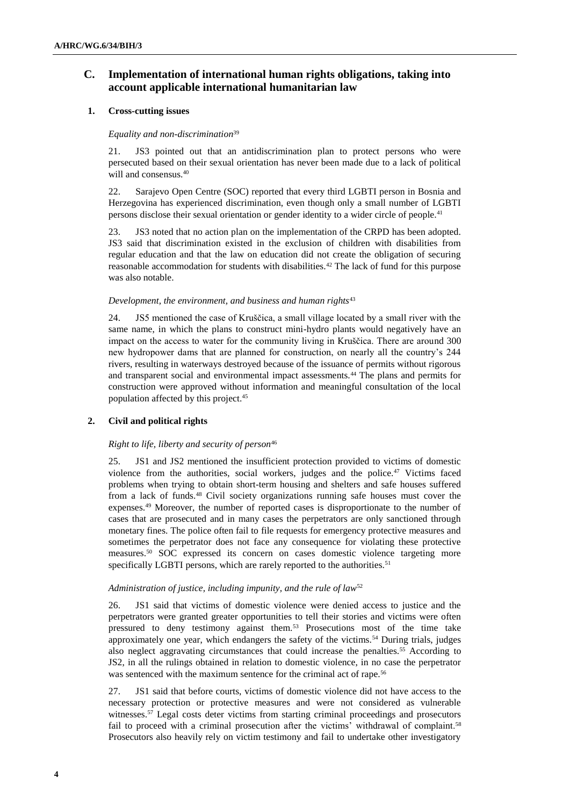## **C. Implementation of international human rights obligations, taking into account applicable international humanitarian law**

## **1. Cross-cutting issues**

### *Equality and non-discrimination*<sup>39</sup>

21. JS3 pointed out that an antidiscrimination plan to protect persons who were persecuted based on their sexual orientation has never been made due to a lack of political will and consensus.<sup>40</sup>

22. Sarajevo Open Centre (SOC) reported that every third LGBTI person in Bosnia and Herzegovina has experienced discrimination, even though only a small number of LGBTI persons disclose their sexual orientation or gender identity to a wider circle of people.<sup>41</sup>

23. JS3 noted that no action plan on the implementation of the CRPD has been adopted. JS3 said that discrimination existed in the exclusion of children with disabilities from regular education and that the law on education did not create the obligation of securing reasonable accommodation for students with disabilities.<sup>42</sup> The lack of fund for this purpose was also notable.

#### *Development, the environment, and business and human rights*<sup>43</sup>

24. JS5 mentioned the case of Kruščica, a small village located by a small river with the same name, in which the plans to construct mini-hydro plants would negatively have an impact on the access to water for the community living in Kruščica. There are around 300 new hydropower dams that are planned for construction, on nearly all the country's 244 rivers, resulting in waterways destroyed because of the issuance of permits without rigorous and transparent social and environmental impact assessments.<sup>44</sup> The plans and permits for construction were approved without information and meaningful consultation of the local population affected by this project.<sup>45</sup>

## **2. Civil and political rights**

## *Right to life, liberty and security of person*<sup>46</sup>

25. JS1 and JS2 mentioned the insufficient protection provided to victims of domestic violence from the authorities, social workers, judges and the police. $47$  Victims faced problems when trying to obtain short-term housing and shelters and safe houses suffered from a lack of funds.<sup>48</sup> Civil society organizations running safe houses must cover the expenses.<sup>49</sup> Moreover, the number of reported cases is disproportionate to the number of cases that are prosecuted and in many cases the perpetrators are only sanctioned through monetary fines. The police often fail to file requests for emergency protective measures and sometimes the perpetrator does not face any consequence for violating these protective measures.<sup>50</sup> SOC expressed its concern on cases domestic violence targeting more specifically LGBTI persons, which are rarely reported to the authorities.<sup>51</sup>

## *Administration of justice, including impunity, and the rule of law*<sup>52</sup>

26. JS1 said that victims of domestic violence were denied access to justice and the perpetrators were granted greater opportunities to tell their stories and victims were often pressured to deny testimony against them.<sup>53</sup> Prosecutions most of the time take approximately one year, which endangers the safety of the victims.<sup>54</sup> During trials, judges also neglect aggravating circumstances that could increase the penalties.<sup>55</sup> According to JS2, in all the rulings obtained in relation to domestic violence, in no case the perpetrator was sentenced with the maximum sentence for the criminal act of rape.<sup>56</sup>

27. JS1 said that before courts, victims of domestic violence did not have access to the necessary protection or protective measures and were not considered as vulnerable witnesses.<sup>57</sup> Legal costs deter victims from starting criminal proceedings and prosecutors fail to proceed with a criminal prosecution after the victims' withdrawal of complaint.<sup>58</sup> Prosecutors also heavily rely on victim testimony and fail to undertake other investigatory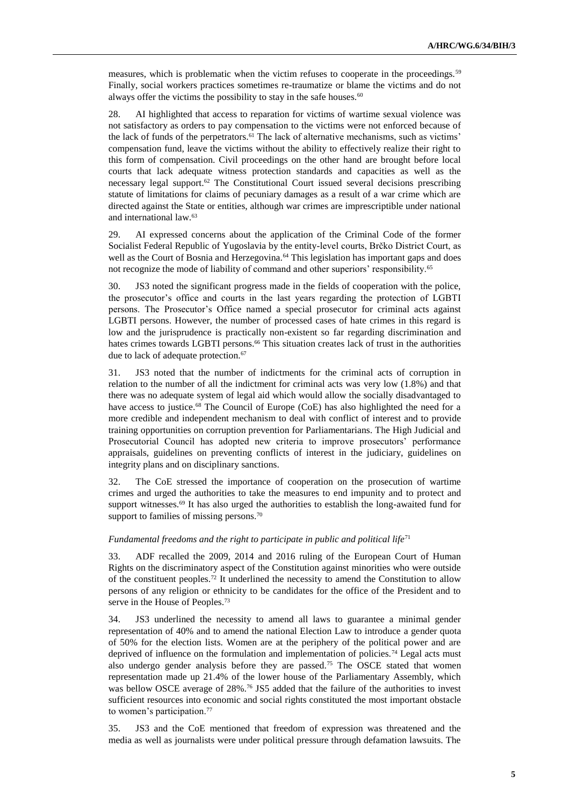measures, which is problematic when the victim refuses to cooperate in the proceedings.<sup>59</sup> Finally, social workers practices sometimes re-traumatize or blame the victims and do not always offer the victims the possibility to stay in the safe houses. $60$ 

28. AI highlighted that access to reparation for victims of wartime sexual violence was not satisfactory as orders to pay compensation to the victims were not enforced because of the lack of funds of the perpetrators.<sup>61</sup> The lack of alternative mechanisms, such as victims' compensation fund, leave the victims without the ability to effectively realize their right to this form of compensation. Civil proceedings on the other hand are brought before local courts that lack adequate witness protection standards and capacities as well as the necessary legal support.<sup>62</sup> The Constitutional Court issued several decisions prescribing statute of limitations for claims of pecuniary damages as a result of a war crime which are directed against the State or entities, although war crimes are imprescriptible under national and international law.<sup>63</sup>

29. AI expressed concerns about the application of the Criminal Code of the former Socialist Federal Republic of Yugoslavia by the entity-level courts, Brčko District Court, as well as the Court of Bosnia and Herzegovina.<sup>64</sup> This legislation has important gaps and does not recognize the mode of liability of command and other superiors' responsibility.<sup>65</sup>

30. JS3 noted the significant progress made in the fields of cooperation with the police, the prosecutor's office and courts in the last years regarding the protection of LGBTI persons. The Prosecutor's Office named a special prosecutor for criminal acts against LGBTI persons. However, the number of processed cases of hate crimes in this regard is low and the jurisprudence is practically non-existent so far regarding discrimination and hates crimes towards LGBTI persons.<sup>66</sup> This situation creates lack of trust in the authorities due to lack of adequate protection.<sup>67</sup>

31. JS3 noted that the number of indictments for the criminal acts of corruption in relation to the number of all the indictment for criminal acts was very low (1.8%) and that there was no adequate system of legal aid which would allow the socially disadvantaged to have access to justice.<sup>68</sup> The Council of Europe (CoE) has also highlighted the need for a more credible and independent mechanism to deal with conflict of interest and to provide training opportunities on corruption prevention for Parliamentarians. The High Judicial and Prosecutorial Council has adopted new criteria to improve prosecutors' performance appraisals, guidelines on preventing conflicts of interest in the judiciary, guidelines on integrity plans and on disciplinary sanctions.

32. The CoE stressed the importance of cooperation on the prosecution of wartime crimes and urged the authorities to take the measures to end impunity and to protect and support witnesses.<sup>69</sup> It has also urged the authorities to establish the long-awaited fund for support to families of missing persons.<sup>70</sup>

#### *Fundamental freedoms and the right to participate in public and political life*<sup>71</sup>

33. ADF recalled the 2009, 2014 and 2016 ruling of the European Court of Human Rights on the discriminatory aspect of the Constitution against minorities who were outside of the constituent peoples.<sup>72</sup> It underlined the necessity to amend the Constitution to allow persons of any religion or ethnicity to be candidates for the office of the President and to serve in the House of Peoples.<sup>73</sup>

34. JS3 underlined the necessity to amend all laws to guarantee a minimal gender representation of 40% and to amend the national Election Law to introduce a gender quota of 50% for the election lists. Women are at the periphery of the political power and are deprived of influence on the formulation and implementation of policies.<sup>74</sup> Legal acts must also undergo gender analysis before they are passed.<sup>75</sup> The OSCE stated that women representation made up 21.4% of the lower house of the Parliamentary Assembly, which was bellow OSCE average of 28%.<sup>76</sup> JS5 added that the failure of the authorities to invest sufficient resources into economic and social rights constituted the most important obstacle to women's participation.<sup>77</sup>

35. JS3 and the CoE mentioned that freedom of expression was threatened and the media as well as journalists were under political pressure through defamation lawsuits. The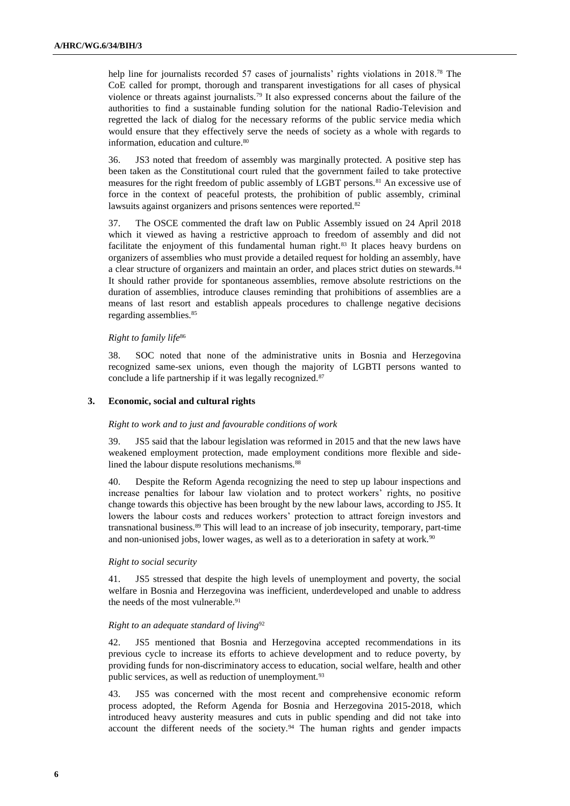help line for journalists recorded 57 cases of journalists' rights violations in 2018.<sup>78</sup> The CoE called for prompt, thorough and transparent investigations for all cases of physical violence or threats against journalists.<sup>79</sup> It also expressed concerns about the failure of the authorities to find a sustainable funding solution for the national Radio-Television and regretted the lack of dialog for the necessary reforms of the public service media which would ensure that they effectively serve the needs of society as a whole with regards to information, education and culture.<sup>80</sup>

36. JS3 noted that freedom of assembly was marginally protected. A positive step has been taken as the Constitutional court ruled that the government failed to take protective measures for the right freedom of public assembly of LGBT persons.<sup>81</sup> An excessive use of force in the context of peaceful protests, the prohibition of public assembly, criminal lawsuits against organizers and prisons sentences were reported.<sup>82</sup>

37. The OSCE commented the draft law on Public Assembly issued on 24 April 2018 which it viewed as having a restrictive approach to freedom of assembly and did not facilitate the enjoyment of this fundamental human right.<sup>83</sup> It places heavy burdens on organizers of assemblies who must provide a detailed request for holding an assembly, have a clear structure of organizers and maintain an order, and places strict duties on stewards.<sup>84</sup> It should rather provide for spontaneous assemblies, remove absolute restrictions on the duration of assemblies, introduce clauses reminding that prohibitions of assemblies are a means of last resort and establish appeals procedures to challenge negative decisions regarding assemblies.<sup>85</sup>

#### *Right to family life*<sup>86</sup>

38. SOC noted that none of the administrative units in Bosnia and Herzegovina recognized same-sex unions, even though the majority of LGBTI persons wanted to conclude a life partnership if it was legally recognized.<sup>87</sup>

#### **3. Economic, social and cultural rights**

#### *Right to work and to just and favourable conditions of work*

39. JS5 said that the labour legislation was reformed in 2015 and that the new laws have weakened employment protection, made employment conditions more flexible and sidelined the labour dispute resolutions mechanisms.<sup>88</sup>

40. Despite the Reform Agenda recognizing the need to step up labour inspections and increase penalties for labour law violation and to protect workers' rights, no positive change towards this objective has been brought by the new labour laws, according to JS5. It lowers the labour costs and reduces workers' protection to attract foreign investors and transnational business.<sup>89</sup> This will lead to an increase of job insecurity, temporary, part-time and non-unionised jobs, lower wages, as well as to a deterioration in safety at work.<sup>90</sup>

#### *Right to social security*

41. JS5 stressed that despite the high levels of unemployment and poverty, the social welfare in Bosnia and Herzegovina was inefficient, underdeveloped and unable to address the needs of the most vulnerable.<sup>91</sup>

#### *Right to an adequate standard of living*<sup>92</sup>

42. JS5 mentioned that Bosnia and Herzegovina accepted recommendations in its previous cycle to increase its efforts to achieve development and to reduce poverty, by providing funds for non-discriminatory access to education, social welfare, health and other public services, as well as reduction of unemployment.<sup>93</sup>

43. JS5 was concerned with the most recent and comprehensive economic reform process adopted, the Reform Agenda for Bosnia and Herzegovina 2015-2018, which introduced heavy austerity measures and cuts in public spending and did not take into account the different needs of the society.<sup>94</sup> The human rights and gender impacts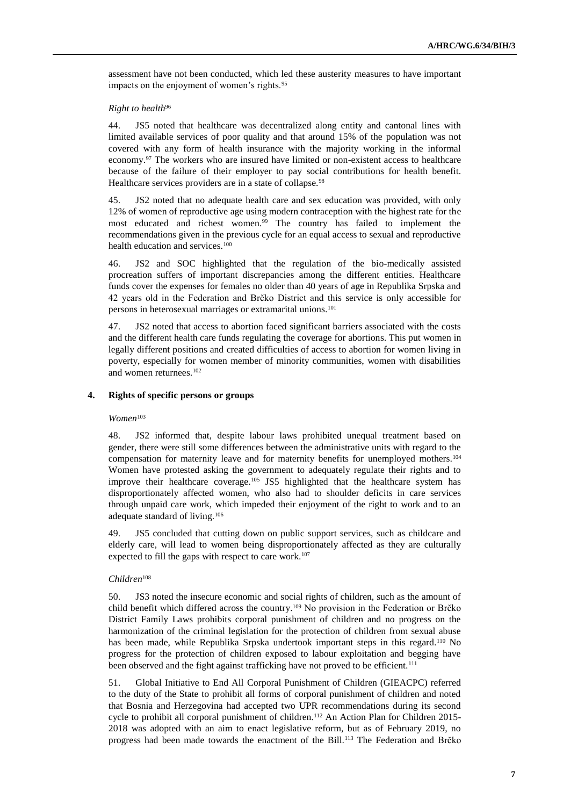assessment have not been conducted, which led these austerity measures to have important impacts on the enjoyment of women's rights.<sup>95</sup>

#### *Right to health*<sup>96</sup>

44. JS5 noted that healthcare was decentralized along entity and cantonal lines with limited available services of poor quality and that around 15% of the population was not covered with any form of health insurance with the majority working in the informal economy.<sup>97</sup> The workers who are insured have limited or non-existent access to healthcare because of the failure of their employer to pay social contributions for health benefit. Healthcare services providers are in a state of collapse.<sup>98</sup>

45. JS2 noted that no adequate health care and sex education was provided, with only 12% of women of reproductive age using modern contraception with the highest rate for the most educated and richest women.<sup>99</sup> The country has failed to implement the recommendations given in the previous cycle for an equal access to sexual and reproductive health education and services.<sup>100</sup>

46. JS2 and SOC highlighted that the regulation of the bio-medically assisted procreation suffers of important discrepancies among the different entities. Healthcare funds cover the expenses for females no older than 40 years of age in Republika Srpska and 42 years old in the Federation and Brčko District and this service is only accessible for persons in heterosexual marriages or extramarital unions.<sup>101</sup>

47. JS2 noted that access to abortion faced significant barriers associated with the costs and the different health care funds regulating the coverage for abortions. This put women in legally different positions and created difficulties of access to abortion for women living in poverty, especially for women member of minority communities, women with disabilities and women returnees.<sup>102</sup>

## **4. Rights of specific persons or groups**

## *Women*<sup>103</sup>

48. JS2 informed that, despite labour laws prohibited unequal treatment based on gender, there were still some differences between the administrative units with regard to the compensation for maternity leave and for maternity benefits for unemployed mothers.<sup>104</sup> Women have protested asking the government to adequately regulate their rights and to improve their healthcare coverage.<sup>105</sup> JS5 highlighted that the healthcare system has disproportionately affected women, who also had to shoulder deficits in care services through unpaid care work, which impeded their enjoyment of the right to work and to an adequate standard of living.<sup>106</sup>

49. JS5 concluded that cutting down on public support services, such as childcare and elderly care, will lead to women being disproportionately affected as they are culturally expected to fill the gaps with respect to care work.<sup>107</sup>

## *Children*<sup>108</sup>

50. JS3 noted the insecure economic and social rights of children, such as the amount of child benefit which differed across the country.<sup>109</sup> No provision in the Federation or Brčko District Family Laws prohibits corporal punishment of children and no progress on the harmonization of the criminal legislation for the protection of children from sexual abuse has been made, while Republika Srpska undertook important steps in this regard.<sup>110</sup> No progress for the protection of children exposed to labour exploitation and begging have been observed and the fight against trafficking have not proved to be efficient.<sup>111</sup>

51. Global Initiative to End All Corporal Punishment of Children (GIEACPC) referred to the duty of the State to prohibit all forms of corporal punishment of children and noted that Bosnia and Herzegovina had accepted two UPR recommendations during its second cycle to prohibit all corporal punishment of children.<sup>112</sup> An Action Plan for Children 2015-2018 was adopted with an aim to enact legislative reform, but as of February 2019, no progress had been made towards the enactment of the Bill.<sup>113</sup> The Federation and Brčko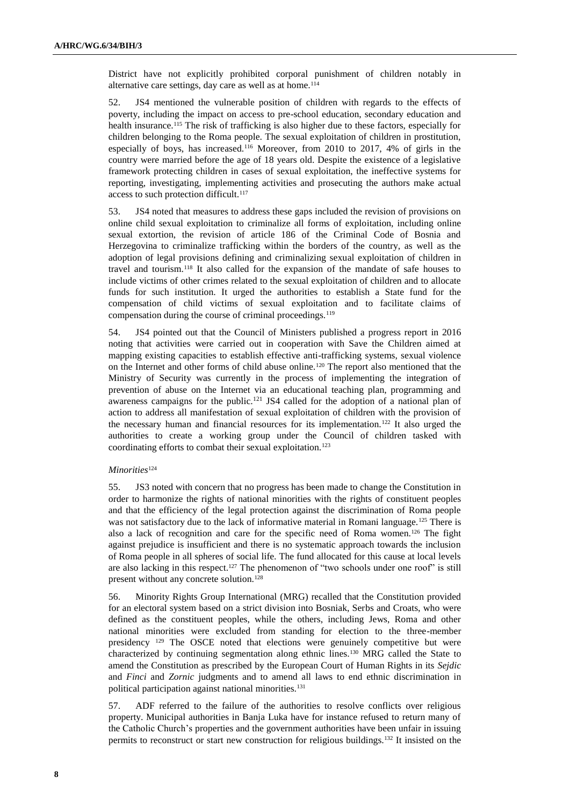District have not explicitly prohibited corporal punishment of children notably in alternative care settings, day care as well as at home.<sup>114</sup>

52. JS4 mentioned the vulnerable position of children with regards to the effects of poverty, including the impact on access to pre-school education, secondary education and health insurance.<sup>115</sup> The risk of trafficking is also higher due to these factors, especially for children belonging to the Roma people. The sexual exploitation of children in prostitution, especially of boys, has increased.<sup>116</sup> Moreover, from 2010 to 2017, 4% of girls in the country were married before the age of 18 years old. Despite the existence of a legislative framework protecting children in cases of sexual exploitation, the ineffective systems for reporting, investigating, implementing activities and prosecuting the authors make actual access to such protection difficult.<sup>117</sup>

53. JS4 noted that measures to address these gaps included the revision of provisions on online child sexual exploitation to criminalize all forms of exploitation, including online sexual extortion, the revision of article 186 of the Criminal Code of Bosnia and Herzegovina to criminalize trafficking within the borders of the country, as well as the adoption of legal provisions defining and criminalizing sexual exploitation of children in travel and tourism.<sup>118</sup> It also called for the expansion of the mandate of safe houses to include victims of other crimes related to the sexual exploitation of children and to allocate funds for such institution. It urged the authorities to establish a State fund for the compensation of child victims of sexual exploitation and to facilitate claims of compensation during the course of criminal proceedings.<sup>119</sup>

54. JS4 pointed out that the Council of Ministers published a progress report in 2016 noting that activities were carried out in cooperation with Save the Children aimed at mapping existing capacities to establish effective anti-trafficking systems, sexual violence on the Internet and other forms of child abuse online.<sup>120</sup> The report also mentioned that the Ministry of Security was currently in the process of implementing the integration of prevention of abuse on the Internet via an educational teaching plan, programming and awareness campaigns for the public.<sup>121</sup> JS4 called for the adoption of a national plan of action to address all manifestation of sexual exploitation of children with the provision of the necessary human and financial resources for its implementation.<sup>122</sup> It also urged the authorities to create a working group under the Council of children tasked with coordinating efforts to combat their sexual exploitation.<sup>123</sup>

### *Minorities*<sup>124</sup>

55. JS3 noted with concern that no progress has been made to change the Constitution in order to harmonize the rights of national minorities with the rights of constituent peoples and that the efficiency of the legal protection against the discrimination of Roma people was not satisfactory due to the lack of informative material in Romani language.<sup>125</sup> There is also a lack of recognition and care for the specific need of Roma women.<sup>126</sup> The fight against prejudice is insufficient and there is no systematic approach towards the inclusion of Roma people in all spheres of social life. The fund allocated for this cause at local levels are also lacking in this respect.<sup>127</sup> The phenomenon of "two schools under one roof" is still present without any concrete solution.<sup>128</sup>

56. Minority Rights Group International (MRG) recalled that the Constitution provided for an electoral system based on a strict division into Bosniak, Serbs and Croats, who were defined as the constituent peoples, while the others, including Jews, Roma and other national minorities were excluded from standing for election to the three-member presidency <sup>129</sup> The OSCE noted that elections were genuinely competitive but were characterized by continuing segmentation along ethnic lines.<sup>130</sup> MRG called the State to amend the Constitution as prescribed by the European Court of Human Rights in its *Sejdic* and *Finci* and *Zornic* judgments and to amend all laws to end ethnic discrimination in political participation against national minorities.<sup>131</sup>

57. ADF referred to the failure of the authorities to resolve conflicts over religious property. Municipal authorities in Banja Luka have for instance refused to return many of the Catholic Church's properties and the government authorities have been unfair in issuing permits to reconstruct or start new construction for religious buildings.<sup>132</sup> It insisted on the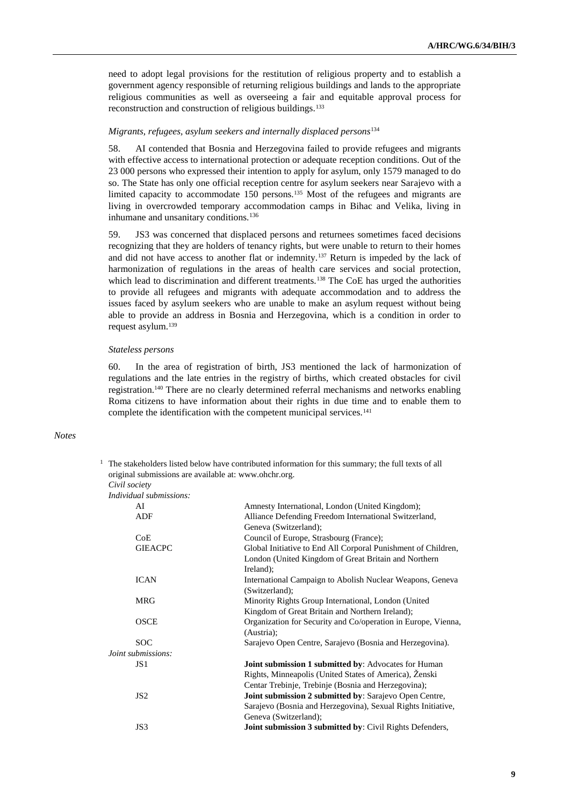need to adopt legal provisions for the restitution of religious property and to establish a government agency responsible of returning religious buildings and lands to the appropriate religious communities as well as overseeing a fair and equitable approval process for reconstruction and construction of religious buildings.<sup>133</sup>

#### *Migrants, refugees, asylum seekers and internally displaced persons*<sup>134</sup>

58. AI contended that Bosnia and Herzegovina failed to provide refugees and migrants with effective access to international protection or adequate reception conditions. Out of the 23 000 persons who expressed their intention to apply for asylum, only 1579 managed to do so. The State has only one official reception centre for asylum seekers near Sarajevo with a limited capacity to accommodate 150 persons.<sup>135</sup> Most of the refugees and migrants are living in overcrowded temporary accommodation camps in Bihac and Velika, living in inhumane and unsanitary conditions.<sup>136</sup>

59. JS3 was concerned that displaced persons and returnees sometimes faced decisions recognizing that they are holders of tenancy rights, but were unable to return to their homes and did not have access to another flat or indemnity.<sup>137</sup> Return is impeded by the lack of harmonization of regulations in the areas of health care services and social protection, which lead to discrimination and different treatments.<sup>138</sup> The CoE has urged the authorities to provide all refugees and migrants with adequate accommodation and to address the issues faced by asylum seekers who are unable to make an asylum request without being able to provide an address in Bosnia and Herzegovina, which is a condition in order to request asylum.<sup>139</sup>

#### *Stateless persons*

60. In the area of registration of birth, JS3 mentioned the lack of harmonization of regulations and the late entries in the registry of births, which created obstacles for civil registration.<sup>140</sup> There are no clearly determined referral mechanisms and networks enabling Roma citizens to have information about their rights in due time and to enable them to complete the identification with the competent municipal services.<sup>141</sup>

## *Notes*

<sup>1</sup> The stakeholders listed below have contributed information for this summary; the full texts of all original submissions are available at: [www.ohchr.org.](http://www.ohchr.org/) *Civil society*

*Individual submissions* 

|                    | пштиции зионизмонз. |                                                                 |  |  |
|--------------------|---------------------|-----------------------------------------------------------------|--|--|
|                    | AI                  | Amnesty International, London (United Kingdom);                 |  |  |
|                    | ADF                 | Alliance Defending Freedom International Switzerland,           |  |  |
|                    |                     | Geneva (Switzerland);                                           |  |  |
|                    | CoE                 | Council of Europe, Strasbourg (France);                         |  |  |
|                    | <b>GIEACPC</b>      | Global Initiative to End All Corporal Punishment of Children,   |  |  |
|                    |                     | London (United Kingdom of Great Britain and Northern            |  |  |
|                    |                     | Ireland);                                                       |  |  |
|                    | <b>ICAN</b>         | International Campaign to Abolish Nuclear Weapons, Geneva       |  |  |
|                    |                     | (Switzerland);                                                  |  |  |
|                    | <b>MRG</b>          | Minority Rights Group International, London (United             |  |  |
|                    |                     | Kingdom of Great Britain and Northern Ireland);                 |  |  |
|                    | <b>OSCE</b>         | Organization for Security and Co/operation in Europe, Vienna,   |  |  |
|                    |                     | (Austria);                                                      |  |  |
|                    | <b>SOC</b>          | Sarajevo Open Centre, Sarajevo (Bosnia and Herzegovina).        |  |  |
| Joint submissions: |                     |                                                                 |  |  |
|                    | JS 1                | Joint submission 1 submitted by: Advocates for Human            |  |  |
|                    |                     | Rights, Minneapolis (United States of America), Ženski          |  |  |
|                    |                     | Centar Trebinje, Trebinje (Bosnia and Herzegovina);             |  |  |
|                    | JS2                 | <b>Joint submission 2 submitted by: Sarajevo Open Centre,</b>   |  |  |
|                    |                     | Sarajevo (Bosnia and Herzegovina), Sexual Rights Initiative,    |  |  |
|                    |                     | Geneva (Switzerland);                                           |  |  |
|                    | JS3                 | <b>Joint submission 3 submitted by: Civil Rights Defenders,</b> |  |  |
|                    |                     |                                                                 |  |  |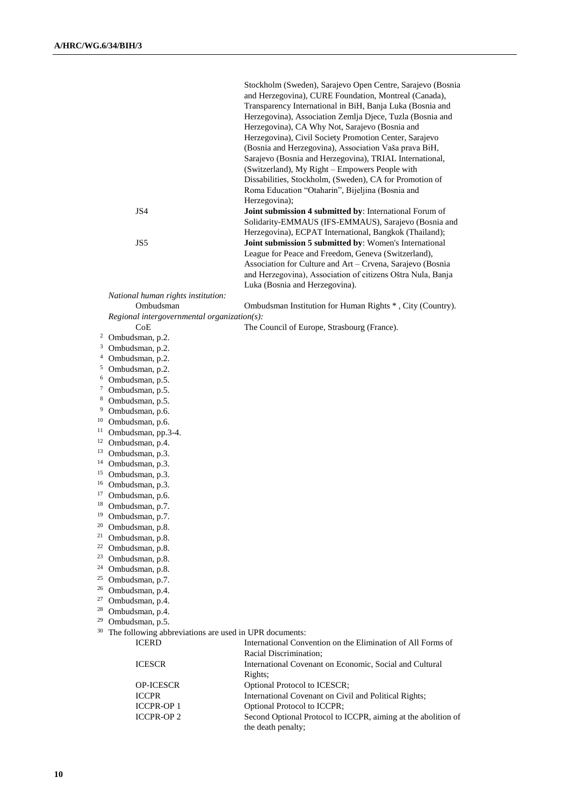|                | JS4                                                                  | Stockholm (Sweden), Sarajevo Open Centre, Sarajevo (Bosnia<br>and Herzegovina), CURE Foundation, Montreal (Canada),<br>Transparency International in BiH, Banja Luka (Bosnia and<br>Herzegovina), Association Zemlja Djece, Tuzla (Bosnia and<br>Herzegovina), CA Why Not, Sarajevo (Bosnia and<br>Herzegovina), Civil Society Promotion Center, Sarajevo<br>(Bosnia and Herzegovina), Association Vaša prava BiH,<br>Sarajevo (Bosnia and Herzegovina), TRIAL International,<br>(Switzerland), My Right - Empowers People with<br>Dissabilities, Stockholm, (Sweden), CA for Promotion of<br>Roma Education "Otaharin", Bijeljina (Bosnia and<br>Herzegovina);<br>Joint submission 4 submitted by: International Forum of |
|----------------|----------------------------------------------------------------------|----------------------------------------------------------------------------------------------------------------------------------------------------------------------------------------------------------------------------------------------------------------------------------------------------------------------------------------------------------------------------------------------------------------------------------------------------------------------------------------------------------------------------------------------------------------------------------------------------------------------------------------------------------------------------------------------------------------------------|
|                |                                                                      | Solidarity-EMMAUS (IFS-EMMAUS), Sarajevo (Bosnia and<br>Herzegovina), ECPAT International, Bangkok (Thailand);                                                                                                                                                                                                                                                                                                                                                                                                                                                                                                                                                                                                             |
|                | JS5                                                                  | Joint submission 5 submitted by: Women's International<br>League for Peace and Freedom, Geneva (Switzerland),<br>Association for Culture and Art - Crvena, Sarajevo (Bosnia<br>and Herzegovina), Association of citizens Oštra Nula, Banja<br>Luka (Bosnia and Herzegovina).                                                                                                                                                                                                                                                                                                                                                                                                                                               |
|                | National human rights institution:                                   |                                                                                                                                                                                                                                                                                                                                                                                                                                                                                                                                                                                                                                                                                                                            |
|                | Ombudsman                                                            | Ombudsman Institution for Human Rights *, City (Country).                                                                                                                                                                                                                                                                                                                                                                                                                                                                                                                                                                                                                                                                  |
|                | Regional intergovernmental organization(s):                          |                                                                                                                                                                                                                                                                                                                                                                                                                                                                                                                                                                                                                                                                                                                            |
|                | CoE<br><sup>2</sup> Ombudsman, p.2.                                  | The Council of Europe, Strasbourg (France).                                                                                                                                                                                                                                                                                                                                                                                                                                                                                                                                                                                                                                                                                |
|                | <sup>3</sup> Ombudsman, p.2.                                         |                                                                                                                                                                                                                                                                                                                                                                                                                                                                                                                                                                                                                                                                                                                            |
| $\overline{4}$ | Ombudsman, p.2.                                                      |                                                                                                                                                                                                                                                                                                                                                                                                                                                                                                                                                                                                                                                                                                                            |
|                | <sup>5</sup> Ombudsman, p.2.                                         |                                                                                                                                                                                                                                                                                                                                                                                                                                                                                                                                                                                                                                                                                                                            |
| 6              | Ombudsman, p.5.                                                      |                                                                                                                                                                                                                                                                                                                                                                                                                                                                                                                                                                                                                                                                                                                            |
| $\mathcal{I}$  | Ombudsman, p.5.                                                      |                                                                                                                                                                                                                                                                                                                                                                                                                                                                                                                                                                                                                                                                                                                            |
| 8<br>9         | Ombudsman, p.5.                                                      |                                                                                                                                                                                                                                                                                                                                                                                                                                                                                                                                                                                                                                                                                                                            |
| 10             | Ombudsman, p.6.<br>Ombudsman, p.6.                                   |                                                                                                                                                                                                                                                                                                                                                                                                                                                                                                                                                                                                                                                                                                                            |
|                | <sup>11</sup> Ombudsman, pp.3-4.                                     |                                                                                                                                                                                                                                                                                                                                                                                                                                                                                                                                                                                                                                                                                                                            |
|                | <sup>12</sup> Ombudsman, p.4.                                        |                                                                                                                                                                                                                                                                                                                                                                                                                                                                                                                                                                                                                                                                                                                            |
|                | <sup>13</sup> Ombudsman, p.3.                                        |                                                                                                                                                                                                                                                                                                                                                                                                                                                                                                                                                                                                                                                                                                                            |
|                | <sup>14</sup> Ombudsman, p.3.                                        |                                                                                                                                                                                                                                                                                                                                                                                                                                                                                                                                                                                                                                                                                                                            |
|                | <sup>15</sup> Ombudsman, p.3.                                        |                                                                                                                                                                                                                                                                                                                                                                                                                                                                                                                                                                                                                                                                                                                            |
|                | <sup>16</sup> Ombudsman, p.3.                                        |                                                                                                                                                                                                                                                                                                                                                                                                                                                                                                                                                                                                                                                                                                                            |
| 17             | Ombudsman, p.6.                                                      |                                                                                                                                                                                                                                                                                                                                                                                                                                                                                                                                                                                                                                                                                                                            |
| 19             | <sup>18</sup> Ombudsman, p.7.                                        |                                                                                                                                                                                                                                                                                                                                                                                                                                                                                                                                                                                                                                                                                                                            |
|                | Ombudsman, p.7.<br><sup>20</sup> Ombudsman, p.8.                     |                                                                                                                                                                                                                                                                                                                                                                                                                                                                                                                                                                                                                                                                                                                            |
|                | $21$ Ombudsman, p.8.                                                 |                                                                                                                                                                                                                                                                                                                                                                                                                                                                                                                                                                                                                                                                                                                            |
|                | <sup>22</sup> Ombudsman, p.8.                                        |                                                                                                                                                                                                                                                                                                                                                                                                                                                                                                                                                                                                                                                                                                                            |
|                | <sup>23</sup> Ombudsman, p.8.                                        |                                                                                                                                                                                                                                                                                                                                                                                                                                                                                                                                                                                                                                                                                                                            |
|                | <sup>24</sup> Ombudsman, p.8.                                        |                                                                                                                                                                                                                                                                                                                                                                                                                                                                                                                                                                                                                                                                                                                            |
|                | $25$ Ombudsman, p.7.                                                 |                                                                                                                                                                                                                                                                                                                                                                                                                                                                                                                                                                                                                                                                                                                            |
|                | <sup>26</sup> Ombudsman, p.4.                                        |                                                                                                                                                                                                                                                                                                                                                                                                                                                                                                                                                                                                                                                                                                                            |
|                | <sup>27</sup> Ombudsman, p.4.                                        |                                                                                                                                                                                                                                                                                                                                                                                                                                                                                                                                                                                                                                                                                                                            |
|                | <sup>28</sup> Ombudsman, p.4.<br>$29$ Ombudsman, p.5.                |                                                                                                                                                                                                                                                                                                                                                                                                                                                                                                                                                                                                                                                                                                                            |
|                | <sup>30</sup> The following abbreviations are used in UPR documents: |                                                                                                                                                                                                                                                                                                                                                                                                                                                                                                                                                                                                                                                                                                                            |
|                | <b>ICERD</b>                                                         | International Convention on the Elimination of All Forms of<br>Racial Discrimination;                                                                                                                                                                                                                                                                                                                                                                                                                                                                                                                                                                                                                                      |
|                | <b>ICESCR</b>                                                        | International Covenant on Economic, Social and Cultural<br>Rights;                                                                                                                                                                                                                                                                                                                                                                                                                                                                                                                                                                                                                                                         |
|                | <b>OP-ICESCR</b>                                                     | Optional Protocol to ICESCR;                                                                                                                                                                                                                                                                                                                                                                                                                                                                                                                                                                                                                                                                                               |
|                | <b>ICCPR</b>                                                         | International Covenant on Civil and Political Rights;                                                                                                                                                                                                                                                                                                                                                                                                                                                                                                                                                                                                                                                                      |
|                | <b>ICCPR-OP1</b>                                                     | Optional Protocol to ICCPR;                                                                                                                                                                                                                                                                                                                                                                                                                                                                                                                                                                                                                                                                                                |
|                | <b>ICCPR-OP2</b>                                                     | Second Optional Protocol to ICCPR, aiming at the abolition of<br>the death penalty;                                                                                                                                                                                                                                                                                                                                                                                                                                                                                                                                                                                                                                        |
|                |                                                                      |                                                                                                                                                                                                                                                                                                                                                                                                                                                                                                                                                                                                                                                                                                                            |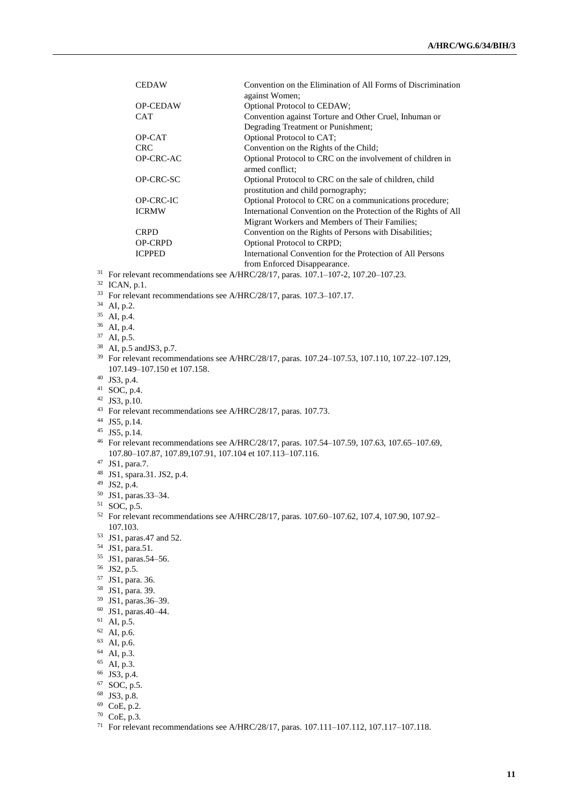|                                                                                                                                                                                                                                                               | <b>CEDAW</b>     | Convention on the Elimination of All Forms of Discrimination                                   |  |  |
|---------------------------------------------------------------------------------------------------------------------------------------------------------------------------------------------------------------------------------------------------------------|------------------|------------------------------------------------------------------------------------------------|--|--|
|                                                                                                                                                                                                                                                               |                  | against Women;                                                                                 |  |  |
|                                                                                                                                                                                                                                                               | <b>OP-CEDAW</b>  | <b>Optional Protocol to CEDAW;</b>                                                             |  |  |
|                                                                                                                                                                                                                                                               | <b>CAT</b>       | Convention against Torture and Other Cruel, Inhuman or                                         |  |  |
|                                                                                                                                                                                                                                                               |                  | Degrading Treatment or Punishment;                                                             |  |  |
|                                                                                                                                                                                                                                                               | OP-CAT           | Optional Protocol to CAT;                                                                      |  |  |
|                                                                                                                                                                                                                                                               | <b>CRC</b>       | Convention on the Rights of the Child;                                                         |  |  |
|                                                                                                                                                                                                                                                               | OP-CRC-AC        | Optional Protocol to CRC on the involvement of children in<br>armed conflict:                  |  |  |
|                                                                                                                                                                                                                                                               | OP-CRC-SC        | Optional Protocol to CRC on the sale of children, child<br>prostitution and child pornography; |  |  |
|                                                                                                                                                                                                                                                               | <b>OP-CRC-IC</b> | Optional Protocol to CRC on a communications procedure;                                        |  |  |
|                                                                                                                                                                                                                                                               | <b>ICRMW</b>     | International Convention on the Protection of the Rights of All                                |  |  |
|                                                                                                                                                                                                                                                               |                  | Migrant Workers and Members of Their Families;                                                 |  |  |
|                                                                                                                                                                                                                                                               | <b>CRPD</b>      | Convention on the Rights of Persons with Disabilities;                                         |  |  |
|                                                                                                                                                                                                                                                               | <b>OP-CRPD</b>   | Optional Protocol to CRPD;                                                                     |  |  |
|                                                                                                                                                                                                                                                               | <b>ICPPED</b>    | International Convention for the Protection of All Persons                                     |  |  |
|                                                                                                                                                                                                                                                               |                  | from Enforced Disappearance.                                                                   |  |  |
| $\lambda$ and $\mu$ are $\mu$ and $\mu$ and $\mu$ and $\lambda$ and $\mu$ and $\mu$ and $\mu$ and $\mu$ and $\mu$ and $\mu$ and $\mu$ and $\mu$ and $\mu$ and $\mu$ and $\mu$ and $\mu$ and $\mu$ and $\mu$ and $\mu$ and $\mu$ and $\mu$ and $\mu$ and $\mu$ |                  |                                                                                                |  |  |

<sup>31</sup> For relevant recommendations see A/HRC/28/17, paras. 107.1–107-2, 107.20–107.23.

- ICAN, p.1.
- For relevant recommendations see A/HRC/28/17, paras. 107.3–107.17.
- AI, p.2.
- AI, p.4.
- AI, p.4.
- AI, p.5.
- AI, p.5 andJS3, p.7.
- <sup>39</sup> For relevant recommendations see A/HRC/28/17, paras. 107.24-107.53, 107.110, 107.22-107.129, 107.149–107.150 et 107.158.
- JS3, p.4.
- SOC, p.4.
- JS3, p.10.
- For relevant recommendations see A/HRC/28/17, paras. 107.73.
- JS5, p.14.
- JS5, p.14.
- For relevant recommendations see A/HRC/28/17, paras. 107.54–107.59, 107.63, 107.65–107.69, 107.80–107.87, 107.89,107.91, 107.104 et 107.113–107.116.
- JS1, para.7.
- JS1, spara.31. JS2, p.4.
- JS2, p.4.
- JS1, paras.33–34.
- SOC, p.5.
- For relevant recommendations see A/HRC/28/17, paras. 107.60–107.62, 107.4, 107.90, 107.92– 107.103.
- JS1, paras.47 and 52.
- JS1, para.51.
- JS1, paras.54–56.
- JS2, p.5.
- JS1, para. 36.
- JS1, para. 39.
- JS1, paras.36–39.
- JS1, paras.40–44.
- AI, p.5.
- AI, p.6.
- AI, p.6.
- AI, p.3.
- <sup>65</sup> AI, p.3.
- JS3, p.4.
- SOC, p.5.
- JS3, p.8.
- CoE, p.2.
- CoE, p.3.
- For relevant recommendations see A/HRC/28/17, paras. 107.111–107.112, 107.117–107.118.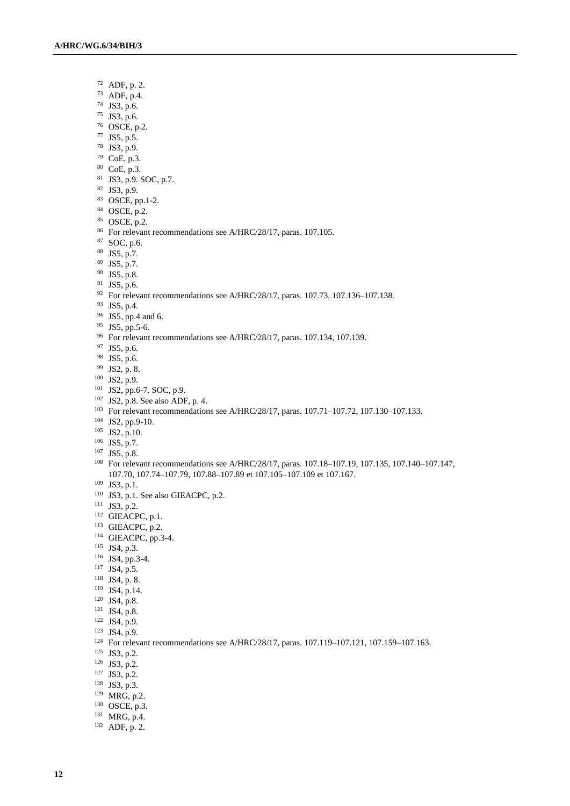- ADF, p. 2.
- ADF, p.4.
- JS3, p.6.
- JS3, p.6.
- OSCE, p.2.
- JS5, p.5.
- JS3, p.9.
- CoE, p.3.
- CoE, p.3.
- JS3, p.9. SOC, p.7.
- JS3, p.9.
- OSCE, pp.1-2.
- OSCE, p.2.
- OSCE, p.2.
- For relevant recommendations see A/HRC/28/17, paras. 107.105.
- SOC, p.6.
- JS5, p.7.
- JS5, p.7.
- JS5, p.8.
- JS5, p.6.
- <sup>92</sup> For relevant recommendations see A/HRC/28/17, paras. 107.73, 107.136-107.138.
- JS5, p.4.
- <sup>94</sup> JS5, pp.4 and 6.
- JS5, pp.5-6.
- For relevant recommendations see A/HRC/28/17, paras. 107.134, 107.139.
- JS5, p.6.
- JS5, p.6.
- JS2, p. 8.
- JS2, p.9.
- JS2, pp.6-7. SOC, p.9.
- JS2, p.8. See also ADF, p. 4.
- 
- For relevant recommendations see A/HRC/28/17, paras. 107.71–107.72, 107.130–107.133.
- JS2, pp.9-10.
- JS2, p.10.
- JS5, p.7.
- JS5, p.8.
- For relevant recommendations see A/HRC/28/17, paras. 107.18–107.19, 107.135, 107.140–107.147, 107.70, 107.74–107.79, 107.88–107.89 et 107.105–107.109 et 107.167.
- JS3, p.1.
- JS3, p.1. See also GIEACPC, p.2.
- JS3, p.2.
- <sup>112</sup> GIEACPC, p.1.
- GIEACPC, p.2.
- GIEACPC, pp.3-4.
- JS4, p.3.
- JS4, pp.3-4.
- JS4, p.5.
- JS4, p. 8.
- JS4, p.14.
- JS4, p.8.
- JS4, p.8.
- JS4, p.9.
- JS4, p.9.
- 
- <sup>124</sup> For relevant recommendations see A/HRC/28/17, paras. 107.119–107.121, 107.159–107.163.
- JS3, p.2.
- JS3, p.2.
- JS3, p.2.
- JS3, p.3.
- MRG, p.2.
- OSCE, p.3.
- MRG, p.4.
- ADF, p. 2.